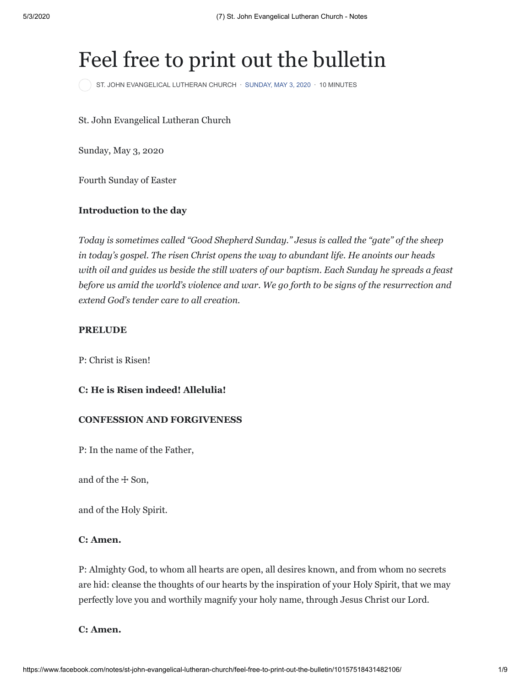# Feel free to print out the bulletin

[ST. JOHN EVANGELICAL LUTHERAN CHURCH](https://www.facebook.com/STJLCJS/) · [SUNDAY, MAY 3, 2020](https://www.facebook.com/notes/st-john-evangelical-lutheran-church/feel-free-to-print-out-the-bulletin/10157518431482106/) · 10 MINUTES

St. John Evangelical Lutheran Church

Sunday, May 3, 2020

Fourth Sunday of Easter

#### **Introduction to the day**

*Today is sometimes called "Good Shepherd Sunday." Jesus is called the "gate" of the sheep in today's gospel. The risen Christ opens the way to abundant life. He anoints our heads with oil and guides us beside the still waters of our baptism. Each Sunday he spreads a feast before us amid the world's violence and war. We go forth to be signs of the resurrection and extend God's tender care to all creation.*

## **PRELUDE**

P: Christ is Risen!

#### **C: He is Risen indeed! Allelulia!**

#### **CONFESSION AND FORGIVENESS**

P: In the name of the Father,

and of the ☩ Son,

and of the Holy Spirit.

#### **C: Amen.**

P: Almighty God, to whom all hearts are open, all desires known, and from whom no secrets are hid: cleanse the thoughts of our hearts by the inspiration of your Holy Spirit, that we may perfectly love you and worthily magnify your holy name, through Jesus Christ our Lord.

**C: Amen.**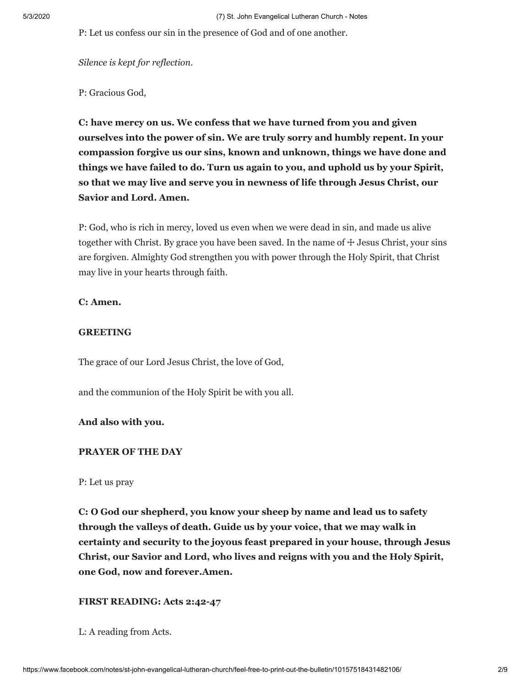P: Let us confess our sin in the presence of God and of one another.

*Silence is kept for reflection.*

P: Gracious God,

**C: have mercy on us. We confess that we have turned from you and given ourselves into the power of sin. We are truly sorry and humbly repent. In your compassion forgive us our sins, known and unknown, things we have done and things we have failed to do. Turn us again to you, and uphold us by your Spirit, so that we may live and serve you in newness of life through Jesus Christ, our Savior and Lord. Amen.**

P: God, who is rich in mercy, loved us even when we were dead in sin, and made us alive together with Christ. By grace you have been saved. In the name of  $\pm$  Jesus Christ, your sins are forgiven. Almighty God strengthen you with power through the Holy Spirit, that Christ may live in your hearts through faith.

#### **C: Amen.**

#### **GREETING**

The grace of our Lord Jesus Christ, the love of God,

and the communion of the Holy Spirit be with you all.

#### **And also with you.**

### **PRAYER OF THE DAY**

P: Let us pray

**C: O God our shepherd, you know your sheep by name and lead us to safety through the valleys of death. Guide us by your voice, that we may walk in certainty and security to the joyous feast prepared in your house, through Jesus Christ, our Savior and Lord, who lives and reigns with you and the Holy Spirit, one God, now and forever.Amen.**

#### **FIRST READING: Acts 2:42-47**

L: A reading from Acts.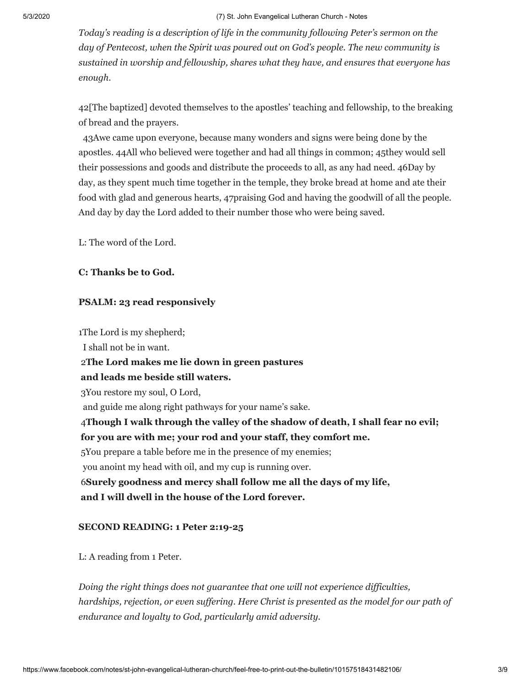*Today's reading is a description of life in the community following Peter's sermon on the day of Pentecost, when the Spirit was poured out on God's people. The new community is sustained in worship and fellowship, shares what they have, and ensures that everyone has enough.*

42[The baptized] devoted themselves to the apostles' teaching and fellowship, to the breaking of bread and the prayers.

 43Awe came upon everyone, because many wonders and signs were being done by the apostles. 44All who believed were together and had all things in common; 45they would sell their possessions and goods and distribute the proceeds to all, as any had need. 46Day by day, as they spent much time together in the temple, they broke bread at home and ate their food with glad and generous hearts, 47praising God and having the goodwill of all the people. And day by day the Lord added to their number those who were being saved.

L: The word of the Lord.

## **C: Thanks be to God.**

## **PSALM: 23 read responsively**

1The Lord is my shepherd; I shall not be in want. 2**The Lord makes me lie down in green pastures and leads me beside still waters.** 3You restore my soul, O Lord, and guide me along right pathways for your name's sake. 4**Though I walk through the valley of the shadow of death, I shall fear no evil; for you are with me; your rod and your staff, they comfort me.**  5You prepare a table before me in the presence of my enemies; you anoint my head with oil, and my cup is running over. 6**Surely goodness and mercy shall follow me all the days of my life, and I will dwell in the house of the Lord forever.**

## **SECOND READING: 1 Peter 2:19-25**

L: A reading from 1 Peter.

*Doing the right things does not guarantee that one will not experience difficulties, hardships, rejection, or even suffering. Here Christ is presented as the model for our path of endurance and loyalty to God, particularly amid adversity.*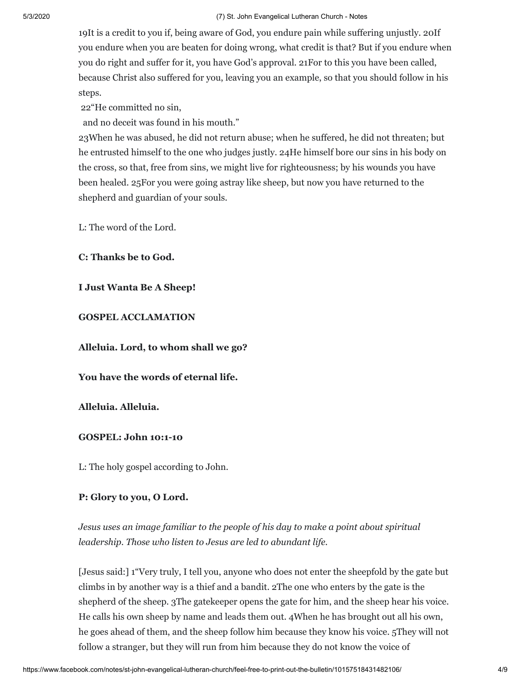#### 5/3/2020 (7) St. John Evangelical Lutheran Church - Notes

19It is a credit to you if, being aware of God, you endure pain while suffering unjustly. 20If you endure when you are beaten for doing wrong, what credit is that? But if you endure when you do right and suffer for it, you have God's approval. 21For to this you have been called, because Christ also suffered for you, leaving you an example, so that you should follow in his steps.

22"He committed no sin,

and no deceit was found in his mouth."

23When he was abused, he did not return abuse; when he suffered, he did not threaten; but he entrusted himself to the one who judges justly. 24He himself bore our sins in his body on the cross, so that, free from sins, we might live for righteousness; by his wounds you have been healed. 25For you were going astray like sheep, but now you have returned to the shepherd and guardian of your souls.

L: The word of the Lord.

**C: Thanks be to God.**

**I Just Wanta Be A Sheep!**

**GOSPEL ACCLAMATION**

**Alleluia. Lord, to whom shall we go?**

**You have the words of eternal life.**

**Alleluia. Alleluia.**

#### **GOSPEL: John 10:1-10**

L: The holy gospel according to John.

## **P: Glory to you, O Lord.**

*Jesus uses an image familiar to the people of his day to make a point about spiritual leadership. Those who listen to Jesus are led to abundant life.*

[Jesus said:] 1"Very truly, I tell you, anyone who does not enter the sheepfold by the gate but climbs in by another way is a thief and a bandit. 2The one who enters by the gate is the shepherd of the sheep. 3The gatekeeper opens the gate for him, and the sheep hear his voice. He calls his own sheep by name and leads them out. 4When he has brought out all his own, he goes ahead of them, and the sheep follow him because they know his voice. 5They will not follow a stranger, but they will run from him because they do not know the voice of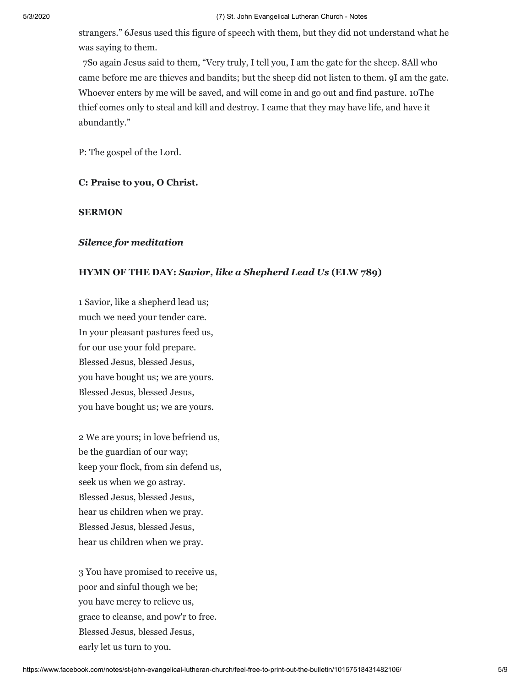#### 5/3/2020 (7) St. John Evangelical Lutheran Church - Notes

strangers." 6Jesus used this figure of speech with them, but they did not understand what he was saying to them.

 7So again Jesus said to them, "Very truly, I tell you, I am the gate for the sheep. 8All who came before me are thieves and bandits; but the sheep did not listen to them. 9I am the gate. Whoever enters by me will be saved, and will come in and go out and find pasture. 10The thief comes only to steal and kill and destroy. I came that they may have life, and have it abundantly."

P: The gospel of the Lord.

## **C: Praise to you, O Christ.**

#### **SERMON**

#### *Silence for meditation*

## **HYMN OF THE DAY:** *Savior, like a Shepherd Lead Us* **(ELW 789)**

1 Savior, like a shepherd lead us; much we need your tender care. In your pleasant pastures feed us, for our use your fold prepare. Blessed Jesus, blessed Jesus, you have bought us; we are yours. Blessed Jesus, blessed Jesus, you have bought us; we are yours.

2 We are yours; in love befriend us, be the guardian of our way; keep your flock, from sin defend us, seek us when we go astray. Blessed Jesus, blessed Jesus, hear us children when we pray. Blessed Jesus, blessed Jesus, hear us children when we pray.

3 You have promised to receive us, poor and sinful though we be; you have mercy to relieve us, grace to cleanse, and pow'r to free. Blessed Jesus, blessed Jesus, early let us turn to you.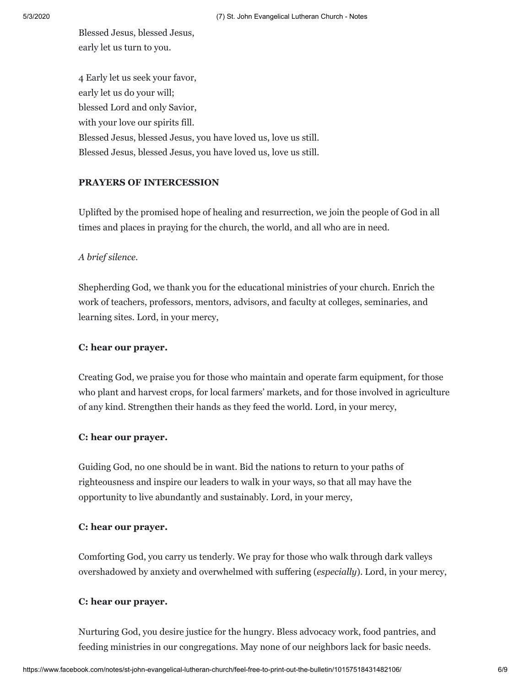Blessed Jesus, blessed Jesus, early let us turn to you.

4 Early let us seek your favor, early let us do your will; blessed Lord and only Savior, with your love our spirits fill. Blessed Jesus, blessed Jesus, you have loved us, love us still. Blessed Jesus, blessed Jesus, you have loved us, love us still.

## **PRAYERS OF INTERCESSION**

Uplifted by the promised hope of healing and resurrection, we join the people of God in all times and places in praying for the church, the world, and all who are in need.

## *A brief silence.*

Shepherding God, we thank you for the educational ministries of your church. Enrich the work of teachers, professors, mentors, advisors, and faculty at colleges, seminaries, and learning sites. Lord, in your mercy,

## **C: hear our prayer.**

Creating God, we praise you for those who maintain and operate farm equipment, for those who plant and harvest crops, for local farmers' markets, and for those involved in agriculture of any kind. Strengthen their hands as they feed the world. Lord, in your mercy,

## **C: hear our prayer.**

Guiding God, no one should be in want. Bid the nations to return to your paths of righteousness and inspire our leaders to walk in your ways, so that all may have the opportunity to live abundantly and sustainably. Lord, in your mercy,

## **C: hear our prayer.**

Comforting God, you carry us tenderly. We pray for those who walk through dark valleys overshadowed by anxiety and overwhelmed with suffering (*especially*). Lord, in your mercy,

## **C: hear our prayer.**

Nurturing God, you desire justice for the hungry. Bless advocacy work, food pantries, and feeding ministries in our congregations. May none of our neighbors lack for basic needs.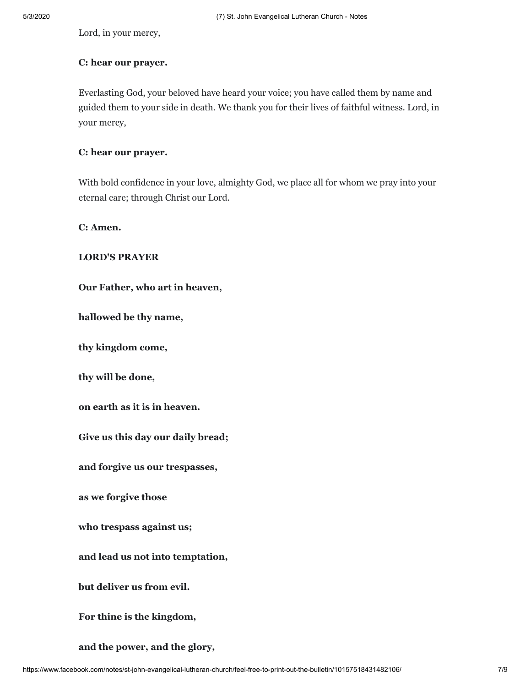Lord, in your mercy,

## **C: hear our prayer.**

Everlasting God, your beloved have heard your voice; you have called them by name and guided them to your side in death. We thank you for their lives of faithful witness. Lord, in your mercy,

#### **C: hear our prayer.**

With bold confidence in your love, almighty God, we place all for whom we pray into your eternal care; through Christ our Lord.

**C: Amen.**

## **LORD'S PRAYER**

**Our Father, who art in heaven,**

**hallowed be thy name,**

**thy kingdom come,**

**thy will be done,**

**on earth as it is in heaven.**

**Give us this day our daily bread;**

**and forgive us our trespasses,**

**as we forgive those**

**who trespass against us;**

**and lead us not into temptation,**

**but deliver us from evil.**

**For thine is the kingdom,**

**and the power, and the glory,**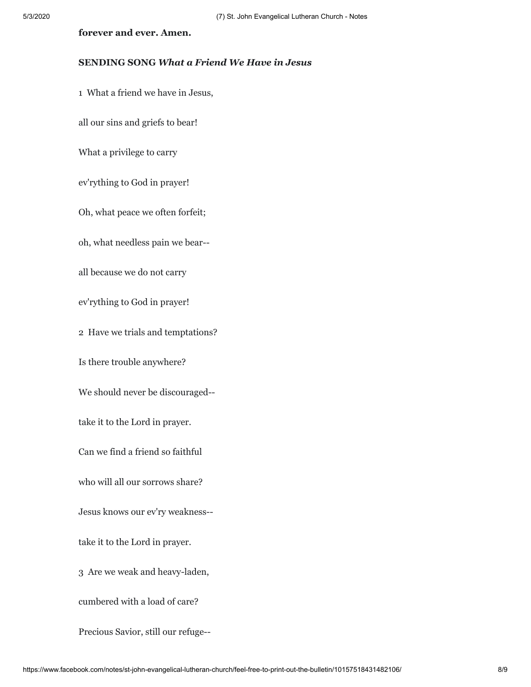#### **forever and ever. Amen.**

#### **SENDING SONG** *What a Friend We Have in Jesus*

1 What a friend we have in Jesus,

all our sins and griefs to bear!

What a privilege to carry

ev'rything to God in prayer!

Oh, what peace we often forfeit;

oh, what needless pain we bear--

all because we do not carry

ev'rything to God in prayer!

2 Have we trials and temptations?

Is there trouble anywhere?

We should never be discouraged--

take it to the Lord in prayer.

Can we find a friend so faithful

who will all our sorrows share?

Jesus knows our ev'ry weakness--

take it to the Lord in prayer.

3 Are we weak and heavy-laden,

cumbered with a load of care?

Precious Savior, still our refuge--